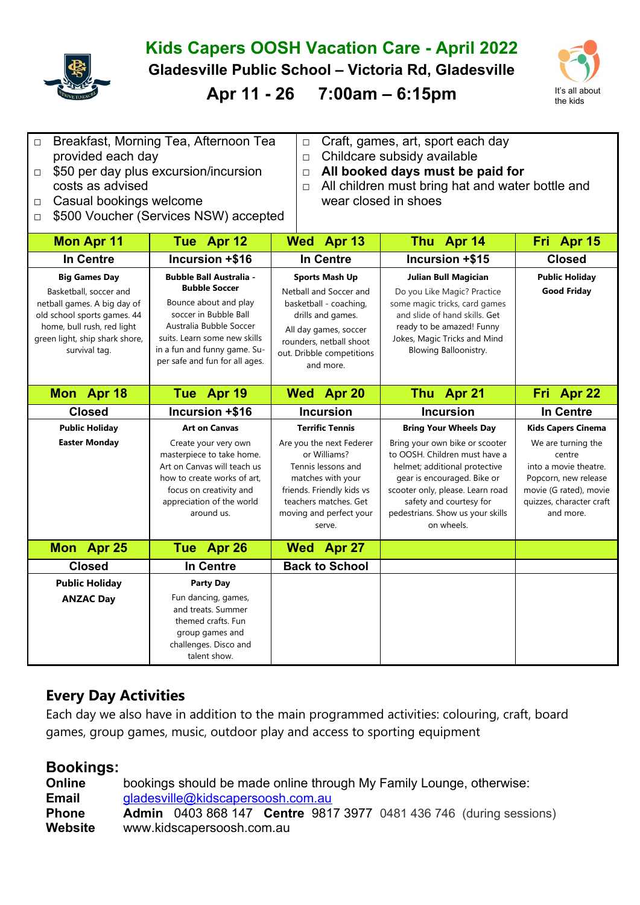

## **Kids Capers OOSH Vacation Care - April 2022**

**Gladesville Public School – Victoria Rd, Gladesville** 



**Apr 11 - 26 7:00am – 6:15pm** It's all about

| $\Box$ | Breakfast, Morning Tea, Afternoon Tea        | $\Box$ Craft, games, art, sport each day                |
|--------|----------------------------------------------|---------------------------------------------------------|
|        | provided each day                            | $\Box$ Childcare subsidy available                      |
|        | $\Box$ \$50 per day plus excursion/incursion | $\Box$ All booked days must be paid for                 |
|        | costs as advised                             | $\Box$ All children must bring hat and water bottle and |
|        | $\Box$ Casual bookings welcome               | wear closed in shoes                                    |

□ \$500 Voucher (Services NSW) accepted

| <b>Mon Apr 11</b>                                                                                                                                                                             | Tue Apr 12                                                                                                                                                                                                                            | Wed Apr 13                                                                                                                                                                                   | Thu Apr 14                                                                                                                                                                                                                                       | Fri Apr 15                                                                                                                                       |
|-----------------------------------------------------------------------------------------------------------------------------------------------------------------------------------------------|---------------------------------------------------------------------------------------------------------------------------------------------------------------------------------------------------------------------------------------|----------------------------------------------------------------------------------------------------------------------------------------------------------------------------------------------|--------------------------------------------------------------------------------------------------------------------------------------------------------------------------------------------------------------------------------------------------|--------------------------------------------------------------------------------------------------------------------------------------------------|
| In Centre                                                                                                                                                                                     | Incursion +\$16                                                                                                                                                                                                                       | <b>In Centre</b>                                                                                                                                                                             | Incursion +\$15                                                                                                                                                                                                                                  | <b>Closed</b>                                                                                                                                    |
| <b>Big Games Day</b><br>Basketball, soccer and<br>netball games. A big day of<br>old school sports games. 44<br>home, bull rush, red light<br>green light, ship shark shore,<br>survival tag. | <b>Bubble Ball Australia -</b><br><b>Bubble Soccer</b><br>Bounce about and play<br>soccer in Bubble Ball<br>Australia Bubble Soccer<br>suits. Learn some new skills<br>in a fun and funny game. Su-<br>per safe and fun for all ages. | <b>Sports Mash Up</b><br>Netball and Soccer and<br>basketball - coaching,<br>drills and games.<br>All day games, soccer<br>rounders, netball shoot<br>out. Dribble competitions<br>and more. | <b>Julian Bull Magician</b><br>Do you Like Magic? Practice<br>some magic tricks, card games<br>and slide of hand skills. Get<br>ready to be amazed! Funny<br>Jokes, Magic Tricks and Mind<br>Blowing Balloonistry.                               | <b>Public Holiday</b><br><b>Good Friday</b>                                                                                                      |
| Mon Apr 18                                                                                                                                                                                    | Tue Apr 19                                                                                                                                                                                                                            | Wed Apr 20                                                                                                                                                                                   | Thu Apr 21                                                                                                                                                                                                                                       | Fri Apr 22                                                                                                                                       |
| <b>Closed</b>                                                                                                                                                                                 | Incursion +\$16                                                                                                                                                                                                                       | <b>Incursion</b>                                                                                                                                                                             | <b>Incursion</b>                                                                                                                                                                                                                                 | In Centre                                                                                                                                        |
| <b>Public Holiday</b>                                                                                                                                                                         | <b>Art on Canvas</b>                                                                                                                                                                                                                  | <b>Terrific Tennis</b>                                                                                                                                                                       | <b>Bring Your Wheels Day</b>                                                                                                                                                                                                                     | <b>Kids Capers Cinema</b>                                                                                                                        |
| <b>Easter Monday</b>                                                                                                                                                                          | Create your very own<br>masterpiece to take home.<br>Art on Canvas will teach us<br>how to create works of art.<br>focus on creativity and<br>appreciation of the world<br>around us.                                                 | Are you the next Federer<br>or Williams?<br>Tennis lessons and<br>matches with your<br>friends. Friendly kids vs<br>teachers matches. Get<br>moving and perfect your<br>serve.               | Bring your own bike or scooter<br>to OOSH. Children must have a<br>helmet; additional protective<br>gear is encouraged. Bike or<br>scooter only, please. Learn road<br>safety and courtesy for<br>pedestrians. Show us your skills<br>on wheels. | We are turning the<br>centre<br>into a movie theatre.<br>Popcorn, new release<br>movie (G rated), movie<br>quizzes, character craft<br>and more. |
| Mon Apr 25                                                                                                                                                                                    | Tue Apr 26                                                                                                                                                                                                                            | Wed Apr 27                                                                                                                                                                                   |                                                                                                                                                                                                                                                  |                                                                                                                                                  |
| <b>Closed</b>                                                                                                                                                                                 | <b>In Centre</b>                                                                                                                                                                                                                      | <b>Back to School</b>                                                                                                                                                                        |                                                                                                                                                                                                                                                  |                                                                                                                                                  |
| <b>Public Holiday</b>                                                                                                                                                                         | <b>Party Day</b>                                                                                                                                                                                                                      |                                                                                                                                                                                              |                                                                                                                                                                                                                                                  |                                                                                                                                                  |
| <b>ANZAC Day</b>                                                                                                                                                                              | Fun dancing, games,<br>and treats. Summer<br>themed crafts. Fun<br>group games and<br>challenges. Disco and<br>talent show.                                                                                                           |                                                                                                                                                                                              |                                                                                                                                                                                                                                                  |                                                                                                                                                  |

## **Every Day Activities**

Each day we also have in addition to the main programmed activities: colouring, craft, board games, group games, music, outdoor play and access to sporting equipment

## **Bookings:**

| <b>Online</b> | bookings should be made online through My Family Lounge, otherwise:<br>gladesville@kidscapersoosh.com.au |  |  |  |  |  |  |
|---------------|----------------------------------------------------------------------------------------------------------|--|--|--|--|--|--|
| <b>Email</b>  |                                                                                                          |  |  |  |  |  |  |
| <b>Phone</b>  | <b>Admin</b> 0403 868 147 <b>Centre</b> 9817 3977 0481 436 746 (during sessions)                         |  |  |  |  |  |  |
| Website       | www.kidscapersoosh.com.au                                                                                |  |  |  |  |  |  |